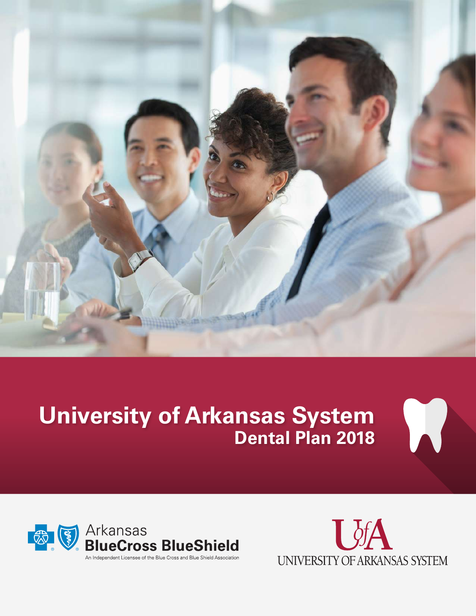

## **University of Arkansas System Dental Plan 2018**





X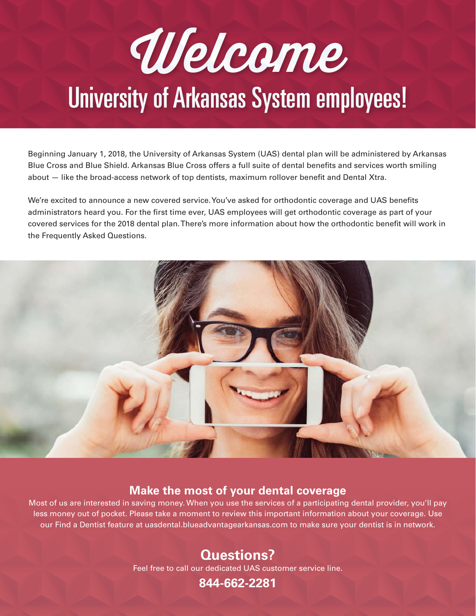# Welcome University of Arkansas System employees!

Beginning January 1, 2018, the University of Arkansas System (UAS) dental plan will be administered by Arkansas Blue Cross and Blue Shield. Arkansas Blue Cross offers a full suite of dental benefits and services worth smiling about — like the broad-access network of top dentists, maximum rollover benefit and Dental Xtra.

We're excited to announce a new covered service. You've asked for orthodontic coverage and UAS benefits administrators heard you. For the first time ever, UAS employees will get orthodontic coverage as part of your covered services for the 2018 dental plan. There's more information about how the orthodontic benefit will work in the Frequently Asked Questions.



#### **Make the most of your dental coverage**

Most of us are interested in saving money. When you use the services of a participating dental provider, you'll pay less money out of pocket. Please take a moment to review this important information about your coverage. Use our Find a Dentist feature at uasdental.blueadvantagearkansas.com to make sure your dentist is in network.

## **Questions?**

Feel free to call our dedicated UAS customer service line.

**844-662-2281**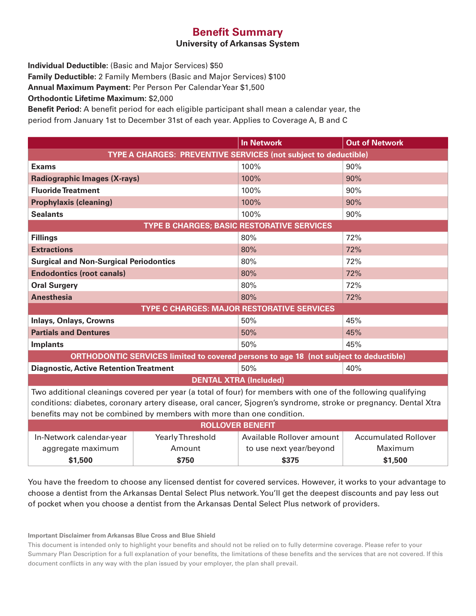#### **Benefit Summary**

#### **University of Arkansas System**

**Individual Deductible:** (Basic and Major Services) \$50

**Family Deductible:** 2 Family Members (Basic and Major Services) \$100

**Annual Maximum Payment:** Per Person Per Calendar Year \$1,500

**Orthodontic Lifetime Maximum:** \$2,000

**Benefit Period:** A benefit period for each eligible participant shall mean a calendar year, the period from January 1st to December 31st of each year. Applies to Coverage A, B and C

|                                                                                                                                                                                                                                                                                                           |                  | <b>In Network</b>         | <b>Out of Network</b>       |  |  |  |  |
|-----------------------------------------------------------------------------------------------------------------------------------------------------------------------------------------------------------------------------------------------------------------------------------------------------------|------------------|---------------------------|-----------------------------|--|--|--|--|
| <b>TYPE A CHARGES: PREVENTIVE SERVICES (not subject to deductible)</b>                                                                                                                                                                                                                                    |                  |                           |                             |  |  |  |  |
| <b>Exams</b>                                                                                                                                                                                                                                                                                              |                  | 100%                      | 90%                         |  |  |  |  |
| <b>Radiographic Images (X-rays)</b>                                                                                                                                                                                                                                                                       |                  | 100%                      | 90%                         |  |  |  |  |
| <b>Fluoride Treatment</b>                                                                                                                                                                                                                                                                                 |                  | 100%                      | 90%                         |  |  |  |  |
| <b>Prophylaxis (cleaning)</b>                                                                                                                                                                                                                                                                             |                  | 100%                      | 90%                         |  |  |  |  |
| <b>Sealants</b>                                                                                                                                                                                                                                                                                           |                  | 100%                      | 90%                         |  |  |  |  |
| TYPE B CHARGES; BASIC RESTORATIVE SERVICES                                                                                                                                                                                                                                                                |                  |                           |                             |  |  |  |  |
| <b>Fillings</b>                                                                                                                                                                                                                                                                                           |                  | 80%                       | 72%                         |  |  |  |  |
| <b>Extractions</b>                                                                                                                                                                                                                                                                                        |                  | 80%                       | 72%                         |  |  |  |  |
| <b>Surgical and Non-Surgical Periodontics</b>                                                                                                                                                                                                                                                             |                  | 80%                       | 72%                         |  |  |  |  |
| <b>Endodontics (root canals)</b>                                                                                                                                                                                                                                                                          |                  | 80%                       | 72%                         |  |  |  |  |
| <b>Oral Surgery</b>                                                                                                                                                                                                                                                                                       |                  | 80%                       | 72%                         |  |  |  |  |
| <b>Anesthesia</b>                                                                                                                                                                                                                                                                                         |                  | 80%                       | 72%                         |  |  |  |  |
| <b>TYPE C CHARGES: MAJOR RESTORATIVE SERVICES</b>                                                                                                                                                                                                                                                         |                  |                           |                             |  |  |  |  |
| <b>Inlays, Onlays, Crowns</b>                                                                                                                                                                                                                                                                             |                  | 50%                       | 45%                         |  |  |  |  |
| <b>Partials and Dentures</b>                                                                                                                                                                                                                                                                              |                  | 50%                       | 45%                         |  |  |  |  |
| <b>Implants</b>                                                                                                                                                                                                                                                                                           |                  | 50%                       | 45%                         |  |  |  |  |
| ORTHODONTIC SERVICES limited to covered persons to age 18 (not subject to deductible)                                                                                                                                                                                                                     |                  |                           |                             |  |  |  |  |
| <b>Diagnostic, Active Retention Treatment</b>                                                                                                                                                                                                                                                             |                  | 50%                       | 40%                         |  |  |  |  |
| <b>DENTAL XTRA (Included)</b>                                                                                                                                                                                                                                                                             |                  |                           |                             |  |  |  |  |
| Two additional cleanings covered per year (a total of four) for members with one of the following qualifying<br>conditions: diabetes, coronary artery disease, oral cancer, Sjogren's syndrome, stroke or pregnancy. Dental Xtra<br>benefits may not be combined by members with more than one condition. |                  |                           |                             |  |  |  |  |
| <b>ROLLOVER BENEFIT</b>                                                                                                                                                                                                                                                                                   |                  |                           |                             |  |  |  |  |
| In-Network calendar-year                                                                                                                                                                                                                                                                                  | Yearly Threshold | Available Rollover amount | <b>Accumulated Rollover</b> |  |  |  |  |
| aggregate maximum                                                                                                                                                                                                                                                                                         | Amount           | to use next year/beyond   | Maximum                     |  |  |  |  |
| \$1,500                                                                                                                                                                                                                                                                                                   | \$750            | \$375                     | \$1,500                     |  |  |  |  |

You have the freedom to choose any licensed dentist for covered services. However, it works to your advantage to choose a dentist from the Arkansas Dental Select Plus network. You'll get the deepest discounts and pay less out of pocket when you choose a dentist from the Arkansas Dental Select Plus network of providers.

**Important Disclaimer from Arkansas Blue Cross and Blue Shield**

This document is intended only to highlight your benefits and should not be relied on to fully determine coverage. Please refer to your Summary Plan Description for a full explanation of your benefits, the limitations of these benefits and the services that are not covered. If this document conflicts in any way with the plan issued by your employer, the plan shall prevail.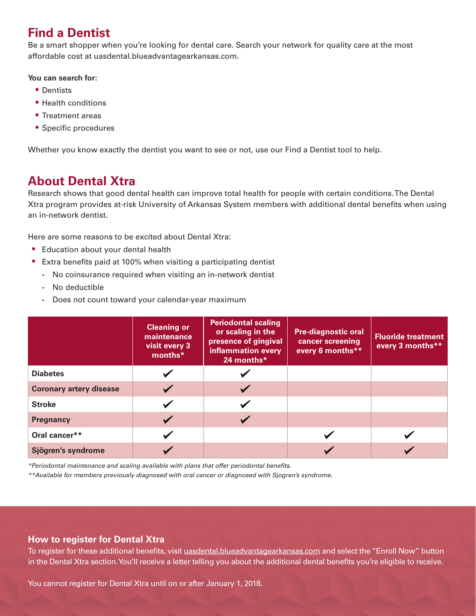## **Find a Dentist**

Be a smart shopper when you're looking for dental care. Search your network for quality care at the most affordable cost at uasdental.blueadvantagearkansas.com.

#### **You can search for:**

- Dentists
- Health conditions
- Treatment areas
- Specific procedures

Whether you know exactly the dentist you want to see or not, use our Find a Dentist tool to help.

### **About Dental Xtra**

Research shows that good dental health can improve total health for people with certain conditions. The Dental Xtra program provides at-risk University of Arkansas System members with additional dental benefits when using an in-network dentist.

Here are some reasons to be excited about Dental Xtra:

- Education about your dental health
- Extra benefits paid at 100% when visiting a participating dentist
	- **-** No coinsurance required when visiting an in-network dentist
	- **-** No deductible
	- **-** Does not count toward your calendar-year maximum

|                                | <b>Cleaning or</b><br>maintenance<br>visit every 3<br>months* | <b>Periodontal scaling</b><br>or scaling in the<br>presence of gingival<br>inflammation every<br>24 months* | <b>Pre-diagnostic oral</b><br>cancer screening<br>every 6 months** | <b>Fluoride treatment</b><br>every 3 months** |
|--------------------------------|---------------------------------------------------------------|-------------------------------------------------------------------------------------------------------------|--------------------------------------------------------------------|-----------------------------------------------|
| <b>Diabetes</b>                |                                                               |                                                                                                             |                                                                    |                                               |
| <b>Coronary artery disease</b> |                                                               |                                                                                                             |                                                                    |                                               |
| <b>Stroke</b>                  |                                                               |                                                                                                             |                                                                    |                                               |
| <b>Pregnancy</b>               | $\blacktriangleright$                                         |                                                                                                             |                                                                    |                                               |
| Oral cancer**                  |                                                               |                                                                                                             |                                                                    |                                               |
| Sjögren's syndrome             |                                                               |                                                                                                             |                                                                    |                                               |

*\*Periodontal maintenance and scaling available with plans that offer periodontal benefits.*

*\*\*Available for members previously diagnosed with oral cancer or diagnosed with Sjogren's syndrome.* 

#### **How to register for Dental Xtra**

To register for these additional benefits, visit uasdental.blueadvantagearkansas.com and select the "Enroll Now" button in the Dental Xtra section. You'll receive a letter telling you about the additional dental benefits you're eligible to receive.

You cannot register for Dental Xtra until on or after January 1, 2018.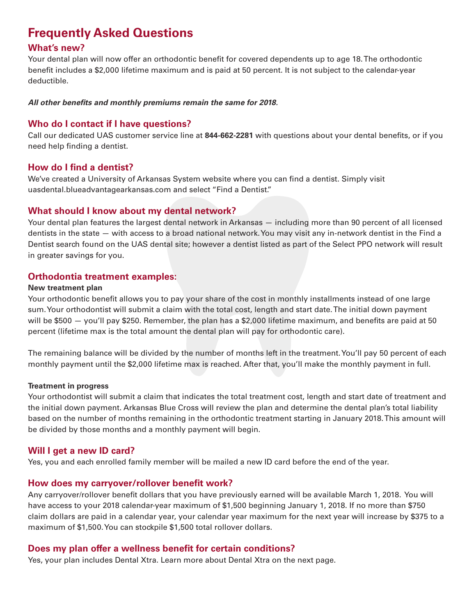## **Frequently Asked Questions**

#### **What's new?**

Your dental plan will now offer an orthodontic benefit for covered dependents up to age 18. The orthodontic benefit includes a \$2,000 lifetime maximum and is paid at 50 percent. It is not subject to the calendar-year deductible.

#### *All other benefits and monthly premiums remain the same for 2018.*

#### **Who do I contact if I have questions?**

Call our dedicated UAS customer service line at **844-662-2281** with questions about your dental benefits, or if you need help finding a dentist.

#### **How do I find a dentist?**

We've created a University of Arkansas System website where you can find a dentist. Simply visit uasdental.blueadvantagearkansas.com and select "Find a Dentist."

#### **What should I know about my dental network?**

Your dental plan features the largest dental network in Arkansas — including more than 90 percent of all licensed dentists in the state — with access to a broad national network. You may visit any in-network dentist in the Find a Dentist search found on the UAS dental site; however a dentist listed as part of the Select PPO network will result in greater savings for you.

#### **Orthodontia treatment examples:**

#### **New treatment plan**

Your orthodontic benefit allows you to pay your share of the cost in monthly installments instead of one large sum. Your orthodontist will submit a claim with the total cost, length and start date. The initial down payment will be \$500 — you'll pay \$250. Remember, the plan has a \$2,000 lifetime maximum, and benefits are paid at 50 percent (lifetime max is the total amount the dental plan will pay for orthodontic care).

The remaining balance will be divided by the number of months left in the treatment. You'll pay 50 percent of each monthly payment until the \$2,000 lifetime max is reached. After that, you'll make the monthly payment in full.

#### **Treatment in progress**

Your orthodontist will submit a claim that indicates the total treatment cost, length and start date of treatment and the initial down payment. Arkansas Blue Cross will review the plan and determine the dental plan's total liability based on the number of months remaining in the orthodontic treatment starting in January 2018. This amount will be divided by those months and a monthly payment will begin.

#### **Will I get a new ID card?**

Yes, you and each enrolled family member will be mailed a new ID card before the end of the year.

#### **How does my carryover/rollover benefit work?**

Any carryover/rollover benefit dollars that you have previously earned will be available March 1, 2018. You will have access to your 2018 calendar-year maximum of \$1,500 beginning January 1, 2018. If no more than \$750 claim dollars are paid in a calendar year, your calendar year maximum for the next year will increase by \$375 to a maximum of \$1,500. You can stockpile \$1,500 total rollover dollars.

#### **Does my plan offer a wellness benefit for certain conditions?**

Yes, your plan includes Dental Xtra. Learn more about Dental Xtra on the next page.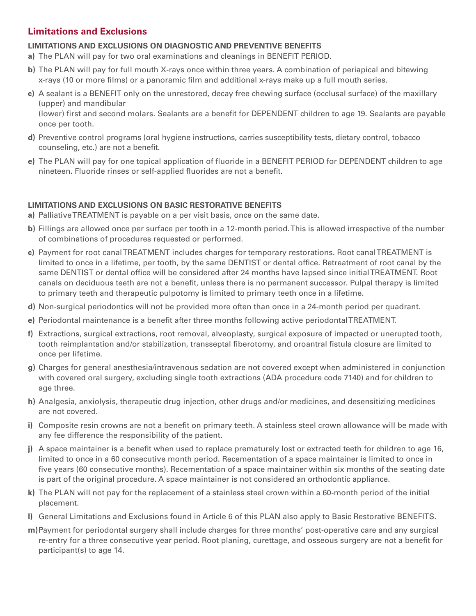#### **Limitations and Exclusions**

#### **LIMITATIONS AND EXCLUSIONS ON DIAGNOSTIC AND PREVENTIVE BENEFITS**

- **a)** The PLAN will pay for two oral examinations and cleanings in BENEFIT PERIOD.
- **b)** The PLAN will pay for full mouth X-rays once within three years. A combination of periapical and bitewing x-rays (10 or more films) or a panoramic film and additional x-rays make up a full mouth series.
- **c)** A sealant is a BENEFIT only on the unrestored, decay free chewing surface (occlusal surface) of the maxillary (upper) and mandibular

(lower) first and second molars. Sealants are a benefit for DEPENDENT children to age 19. Sealants are payable once per tooth.

- **d)** Preventive control programs (oral hygiene instructions, carries susceptibility tests, dietary control, tobacco counseling, etc.) are not a benefit.
- **e)** The PLAN will pay for one topical application of fluoride in a BENEFIT PERIOD for DEPENDENT children to age nineteen. Fluoride rinses or self-applied fluorides are not a benefit.

#### **LIMITATIONS AND EXCLUSIONS ON BASIC RESTORATIVE BENEFITS**

- **a)** Palliative TREATMENT is payable on a per visit basis, once on the same date.
- **b)** Fillings are allowed once per surface per tooth in a 12-month period. This is allowed irrespective of the number of combinations of procedures requested or performed.
- **c)** Payment for root canal TREATMENT includes charges for temporary restorations. Root canal TREATMENT is limited to once in a lifetime, per tooth, by the same DENTIST or dental office. Retreatment of root canal by the same DENTIST or dental office will be considered after 24 months have lapsed since initial TREATMENT. Root canals on deciduous teeth are not a benefit, unless there is no permanent successor. Pulpal therapy is limited to primary teeth and therapeutic pulpotomy is limited to primary teeth once in a lifetime.
- **d)** Non-surgical periodontics will not be provided more often than once in a 24-month period per quadrant.
- **e)** Periodontal maintenance is a benefit after three months following active periodontal TREATMENT.
- **f)** Extractions, surgical extractions, root removal, alveoplasty, surgical exposure of impacted or unerupted tooth, tooth reimplantation and/or stabilization, transseptal fiberotomy, and oroantral fistula closure are limited to once per lifetime.
- **g)** Charges for general anesthesia/intravenous sedation are not covered except when administered in conjunction with covered oral surgery, excluding single tooth extractions (ADA procedure code 7140) and for children to age three.
- **h)** Analgesia, anxiolysis, therapeutic drug injection, other drugs and/or medicines, and desensitizing medicines are not covered.
- **i)** Composite resin crowns are not a benefit on primary teeth. A stainless steel crown allowance will be made with any fee difference the responsibility of the patient.
- **j)** A space maintainer is a benefit when used to replace prematurely lost or extracted teeth for children to age 16, limited to once in a 60 consecutive month period. Recementation of a space maintainer is limited to once in five years (60 consecutive months). Recementation of a space maintainer within six months of the seating date is part of the original procedure. A space maintainer is not considered an orthodontic appliance.
- **k)** The PLAN will not pay for the replacement of a stainless steel crown within a 60-month period of the initial placement.
- **l)** General Limitations and Exclusions found in Article 6 of this PLAN also apply to Basic Restorative BENEFITS.
- **m)**Payment for periodontal surgery shall include charges for three months' post-operative care and any surgical re-entry for a three consecutive year period. Root planing, curettage, and osseous surgery are not a benefit for participant(s) to age 14.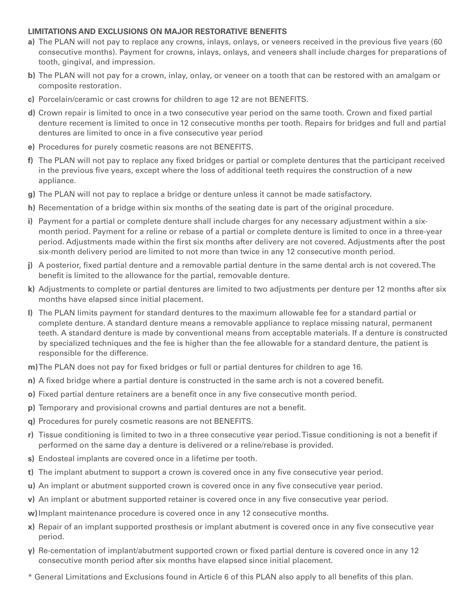#### **LIMITATIONS AND EXCLUSIONS ON MAJOR RESTORATIVE BENEFITS**

- **a)** The PLAN will not pay to replace any crowns, inlays, onlays, or veneers received in the previous five years (60 consecutive months). Payment for crowns, inlays, onlays, and veneers shall include charges for preparations of tooth, gingival, and impression.
- **b)** The PLAN will not pay for a crown, inlay, onlay, or veneer on a tooth that can be restored with an amalgam or composite restoration.
- **c)** Porcelain/ceramic or cast crowns for children to age 12 are not BENEFITS.
- **d)** Crown repair is limited to once in a two consecutive year period on the same tooth. Crown and fixed partial denture recement is limited to once in 12 consecutive months per tooth. Repairs for bridges and full and partial dentures are limited to once in a five consecutive year period
- **e)** Procedures for purely cosmetic reasons are not BENEFITS.
- **f)** The PLAN will not pay to replace any fixed bridges or partial or complete dentures that the participant received in the previous five years, except where the loss of additional teeth requires the construction of a new appliance.
- **g)** The PLAN will not pay to replace a bridge or denture unless it cannot be made satisfactory.
- **h)** Recementation of a bridge within six months of the seating date is part of the original procedure.
- **i)** Payment for a partial or complete denture shall include charges for any necessary adjustment within a sixmonth period. Payment for a reline or rebase of a partial or complete denture is limited to once in a three-year period. Adjustments made within the first six months after delivery are not covered. Adjustments after the post six-month delivery period are limited to not more than twice in any 12 consecutive month period.
- **j)** A posterior, fixed partial denture and a removable partial denture in the same dental arch is not covered. The benefit is limited to the allowance for the partial, removable denture.
- **k)** Adjustments to complete or partial dentures are limited to two adjustments per denture per 12 months after six months have elapsed since initial placement.
- **l)** The PLAN limits payment for standard dentures to the maximum allowable fee for a standard partial or complete denture. A standard denture means a removable appliance to replace missing natural, permanent teeth. A standard denture is made by conventional means from acceptable materials. If a denture is constructed by specialized techniques and the fee is higher than the fee allowable for a standard denture, the patient is responsible for the difference.

**m)**The PLAN does not pay for fixed bridges or full or partial dentures for children to age 16.

- **n)** A fixed bridge where a partial denture is constructed in the same arch is not a covered benefit.
- **o)** Fixed partial denture retainers are a benefit once in any five consecutive month period.
- **p)** Temporary and provisional crowns and partial dentures are not a benefit.
- **q)** Procedures for purely cosmetic reasons are not BENEFITS.
- **r)** Tissue conditioning is limited to two in a three consecutive year period. Tissue conditioning is not a benefit if performed on the same day a denture is delivered or a reline/rebase is provided.
- **s)** Endosteal implants are covered once in a lifetime per tooth.
- **t)** The implant abutment to support a crown is covered once in any five consecutive year period.
- **u)** An implant or abutment supported crown is covered once in any five consecutive year period.
- **v)** An implant or abutment supported retainer is covered once in any five consecutive year period.
- **w)**Implant maintenance procedure is covered once in any 12 consecutive months.
- **x)** Repair of an implant supported prosthesis or implant abutment is covered once in any five consecutive year period.
- **y)** Re-cementation of implant/abutment supported crown or fixed partial denture is covered once in any 12 consecutive month period after six months have elapsed since initial placement.
- \* General Limitations and Exclusions found in Article 6 of this PLAN also apply to all benefits of this plan.